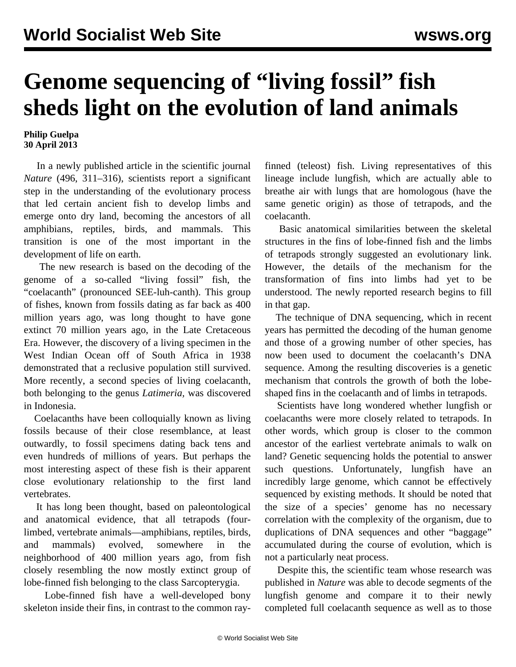## **Genome sequencing of "living fossil" fish sheds light on the evolution of land animals**

## **Philip Guelpa 30 April 2013**

 In a newly published article in the scientific journal *Nature* (496, 311–316), scientists report a significant step in the understanding of the evolutionary process that led certain ancient fish to develop limbs and emerge onto dry land, becoming the ancestors of all amphibians, reptiles, birds, and mammals. This transition is one of the most important in the development of life on earth.

 The new research is based on the decoding of the genome of a so-called "living fossil" fish, the "coelacanth" (pronounced SEE-luh-canth). This group of fishes, known from fossils dating as far back as 400 million years ago, was long thought to have gone extinct 70 million years ago, in the Late Cretaceous Era. However, the discovery of a living specimen in the West Indian Ocean off of South Africa in 1938 demonstrated that a reclusive population still survived. More recently, a second species of living coelacanth, both belonging to the genus *Latimeria,* was discovered in Indonesia.

 Coelacanths have been colloquially known as living fossils because of their close resemblance, at least outwardly, to fossil specimens dating back tens and even hundreds of millions of years. But perhaps the most interesting aspect of these fish is their apparent close evolutionary relationship to the first land vertebrates.

 It has long been thought, based on paleontological and anatomical evidence, that all tetrapods (fourlimbed, vertebrate animals—amphibians, reptiles, birds, and mammals) evolved, somewhere in the neighborhood of 400 million years ago, from fish closely resembling the now mostly extinct group of lobe-finned fish belonging to the class Sarcopterygia.

 Lobe-finned fish have a well-developed bony skeleton inside their fins, in contrast to the common rayfinned (teleost) fish. Living representatives of this lineage include lungfish, which are actually able to breathe air with lungs that are homologous (have the same genetic origin) as those of tetrapods, and the coelacanth.

 Basic anatomical similarities between the skeletal structures in the fins of lobe-finned fish and the limbs of tetrapods strongly suggested an evolutionary link. However, the details of the mechanism for the transformation of fins into limbs had yet to be understood. The newly reported research begins to fill in that gap.

 The technique of DNA sequencing, which in recent years has permitted the decoding of the human genome and those of a growing number of other species, has now been used to document the coelacanth's DNA sequence. Among the resulting discoveries is a genetic mechanism that controls the growth of both the lobeshaped fins in the coelacanth and of limbs in tetrapods.

 Scientists have long wondered whether lungfish or coelacanths were more closely related to tetrapods. In other words, which group is closer to the common ancestor of the earliest vertebrate animals to walk on land? Genetic sequencing holds the potential to answer such questions. Unfortunately, lungfish have an incredibly large genome, which cannot be effectively sequenced by existing methods. It should be noted that the size of a species' genome has no necessary correlation with the complexity of the organism, due to duplications of DNA sequences and other "baggage" accumulated during the course of evolution, which is not a particularly neat process.

 Despite this, the scientific team whose research was published in *Nature* was able to decode segments of the lungfish genome and compare it to their newly completed full coelacanth sequence as well as to those